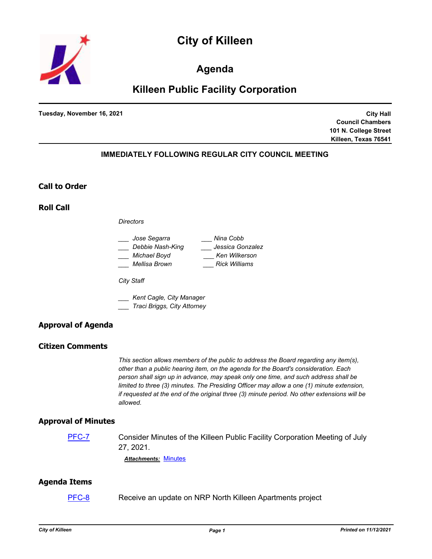



## **Agenda**

# **Killeen Public Facility Corporation**

**Tuesday, November 16, 2021**

**City Hall Council Chambers 101 N. College Street Killeen, Texas 76541**

## **IMMEDIATELY FOLLOWING REGULAR CITY COUNCIL MEETING**

### **Call to Order**

**Roll Call**

*Directors*

| Jose Segarra     | Nina Cobb            |
|------------------|----------------------|
| Debbie Nash-King | Jessica Gonzalez     |
| Michael Boyd     | Ken Wilkerson        |
| Mellisa Brown    | <b>Rick Williams</b> |

*City Staff*

*\_\_\_ Kent Cagle, City Manager \_\_\_ Traci Briggs, City Attorney*

## **Approval of Agenda**

## **Citizen Comments**

*This section allows members of the public to address the Board regarding any item(s), other than a public hearing item, on the agenda for the Board's consideration. Each person shall sign up in advance, may speak only one time, and such address shall be limited to three (3) minutes. The Presiding Officer may allow a one (1) minute extension, if requested at the end of the original three (3) minute period. No other extensions will be allowed.*

### **Approval of Minutes**

[PFC-7](http://killeen.legistar.com/gateway.aspx?m=l&id=/matter.aspx?key=5795) Consider Minutes of the Killeen Public Facility Corporation Meeting of July 27, 2021.

*Attachments:* [Minutes](http://killeen.legistar.com/gateway.aspx?M=F&ID=0beab302-7fd4-4dac-b63e-0aca1b5c82d1.pdf)

## **Agenda Items**

[PFC-8](http://killeen.legistar.com/gateway.aspx?m=l&id=/matter.aspx?key=5796) Receive an update on NRP North Killeen Apartments project